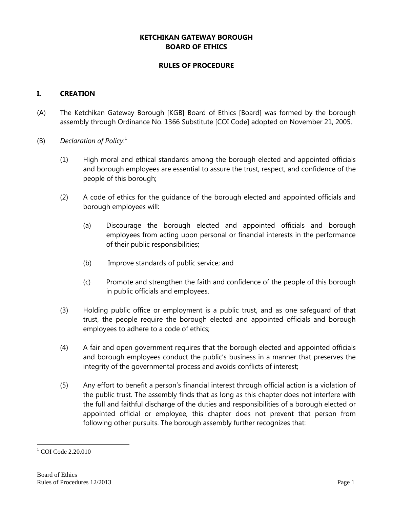### **KETCHIKAN GATEWAY BOROUGH BOARD OF ETHICS**

### **RULES OF PROCEDURE**

### **I. CREATION**

- (A) The Ketchikan Gateway Borough [KGB] Board of Ethics [Board] was formed by the borough assembly through Ordinance No. 1366 Substitute [COI Code] adopted on November 21, 2005.
- (B) *Declaration of Policy*: 1
	- (1) High moral and ethical standards among the borough elected and appointed officials and borough employees are essential to assure the trust, respect, and confidence of the people of this borough;
	- (2) A code of ethics for the guidance of the borough elected and appointed officials and borough employees will:
		- (a) Discourage the borough elected and appointed officials and borough employees from acting upon personal or financial interests in the performance of their public responsibilities;
		- (b) Improve standards of public service; and
		- (c) Promote and strengthen the faith and confidence of the people of this borough in public officials and employees.
	- (3) Holding public office or employment is a public trust, and as one safeguard of that trust, the people require the borough elected and appointed officials and borough employees to adhere to a code of ethics;
	- (4) A fair and open government requires that the borough elected and appointed officials and borough employees conduct the public's business in a manner that preserves the integrity of the governmental process and avoids conflicts of interest;
	- (5) Any effort to benefit a person's financial interest through official action is a violation of the public trust. The assembly finds that as long as this chapter does not interfere with the full and faithful discharge of the duties and responsibilities of a borough elected or appointed official or employee, this chapter does not prevent that person from following other pursuits. The borough assembly further recognizes that:

 $\overline{a}$  $1$  COI Code 2.20.010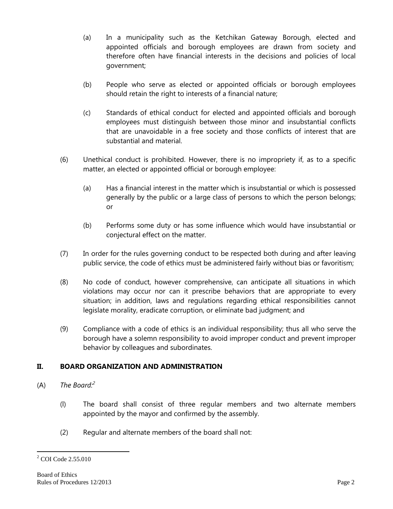- (a) In a municipality such as the Ketchikan Gateway Borough, elected and appointed officials and borough employees are drawn from society and therefore often have financial interests in the decisions and policies of local government;
- (b) People who serve as elected or appointed officials or borough employees should retain the right to interests of a financial nature;
- (c) Standards of ethical conduct for elected and appointed officials and borough employees must distinguish between those minor and insubstantial conflicts that are unavoidable in a free society and those conflicts of interest that are substantial and material.
- (6) Unethical conduct is prohibited. However, there is no impropriety if, as to a specific matter, an elected or appointed official or borough employee:
	- (a) Has a financial interest in the matter which is insubstantial or which is possessed generally by the public or a large class of persons to which the person belongs; or
	- (b) Performs some duty or has some influence which would have insubstantial or conjectural effect on the matter.
- (7) In order for the rules governing conduct to be respected both during and after leaving public service, the code of ethics must be administered fairly without bias or favoritism;
- (8) No code of conduct, however comprehensive, can anticipate all situations in which violations may occur nor can it prescribe behaviors that are appropriate to every situation; in addition, laws and regulations regarding ethical responsibilities cannot legislate morality, eradicate corruption, or eliminate bad judgment; and
- (9) Compliance with a code of ethics is an individual responsibility; thus all who serve the borough have a solemn responsibility to avoid improper conduct and prevent improper behavior by colleagues and subordinates.

### **II. BOARD ORGANIZATION AND ADMINISTRATION**

- (A) *The Board:<sup>2</sup>*
	- (l) The board shall consist of three regular members and two alternate members appointed by the mayor and confirmed by the assembly.
	- (2) Regular and alternate members of the board shall not:

 $\overline{a}$ <sup>2</sup> COI Code 2.55.010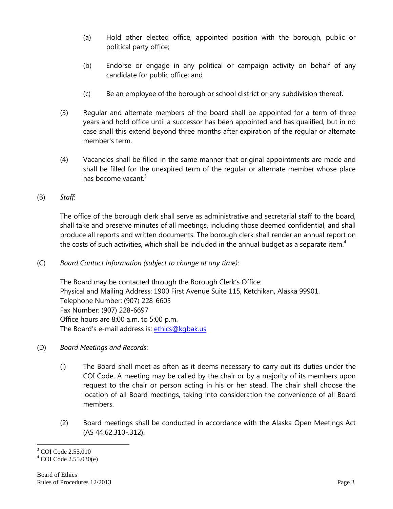- (a) Hold other elected office, appointed position with the borough, public or political party office;
- (b) Endorse or engage in any political or campaign activity on behalf of any candidate for public office; and
- (c) Be an employee of the borough or school district or any subdivision thereof.
- (3) Regular and alternate members of the board shall be appointed for a term of three years and hold office until a successor has been appointed and has qualified, but in no case shall this extend beyond three months after expiration of the regular or alternate member's term.
- (4) Vacancies shall be filled in the same manner that original appointments are made and shall be filled for the unexpired term of the regular or alternate member whose place has become vacant  $3$
- (B) *Staff*:

The office of the borough clerk shall serve as administrative and secretarial staff to the board, shall take and preserve minutes of all meetings, including those deemed confidential, and shall produce all reports and written documents. The borough clerk shall render an annual report on the costs of such activities, which shall be included in the annual budget as a separate item.<sup>4</sup>

(C) *Board Contact Information (subject to change at any time)*:

The Board may be contacted through the Borough Clerk's Office: Physical and Mailing Address: 1900 First Avenue Suite 115, Ketchikan, Alaska 99901. Telephone Number: (907) 228-6605 Fax Number: (907) 228-6697 Office hours are 8:00 a.m. to 5:00 p.m. The Board's e-mail address is: ethics@kqbak.us

- (D) *Board Meetings and Records*:
	- (l) The Board shall meet as often as it deems necessary to carry out its duties under the COI Code. A meeting may be called by the chair or by a majority of its members upon request to the chair or person acting in his or her stead. The chair shall choose the location of all Board meetings, taking into consideration the convenience of all Board members.
	- (2) Board meetings shall be conducted in accordance with the Alaska Open Meetings Act (AS 44.62.310-.312).

 $\overline{a}$ <sup>3</sup> COI Code 2.55.010

 $^{4}$  COI Code 2.55.030(e)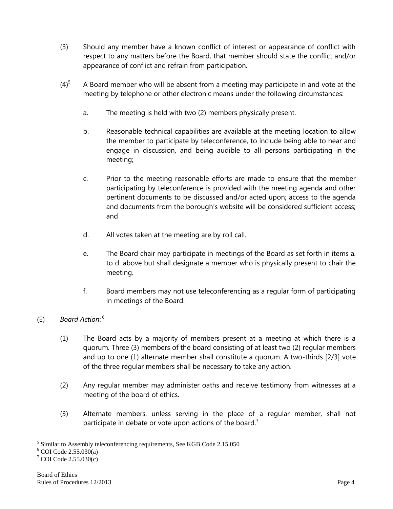- (3) Should any member have a known conflict of interest or appearance of conflict with respect to any matters before the Board, that member should state the conflict and/or appearance of conflict and refrain from participation.
- $(4)<sup>5</sup>$  A Board member who will be absent from a meeting may participate in and vote at the meeting by telephone or other electronic means under the following circumstances:
	- a. The meeting is held with two (2) members physically present.
	- b. Reasonable technical capabilities are available at the meeting location to allow the member to participate by teleconference, to include being able to hear and engage in discussion, and being audible to all persons participating in the meeting;
	- c. Prior to the meeting reasonable efforts are made to ensure that the member participating by teleconference is provided with the meeting agenda and other pertinent documents to be discussed and/or acted upon; access to the agenda and documents from the borough's website will be considered sufficient access; and
	- d. All votes taken at the meeting are by roll call.
	- e. The Board chair may participate in meetings of the Board as set forth in items a. to d. above but shall designate a member who is physically present to chair the meeting.
	- f. Board members may not use teleconferencing as a regular form of participating in meetings of the Board.

# (E) *Board Action*: 6

- (1) The Board acts by a majority of members present at a meeting at which there is a quorum. Three (3) members of the board consisting of at least two (2) regular members and up to one (1) alternate member shall constitute a quorum. A two-thirds [2/3] vote of the three regular members shall be necessary to take any action.
- (2) Any regular member may administer oaths and receive testimony from witnesses at a meeting of the board of ethics.
- (3) Alternate members, unless serving in the place of a regular member, shall not participate in debate or vote upon actions of the board.<sup>7</sup>

 $\overline{a}$ <sup>5</sup> Similar to Assembly teleconferencing requirements, See KGB Code 2.15.050

 $6$  COI Code 2.55.030(a)

 $7^7$  COI Code 2.55.030(c)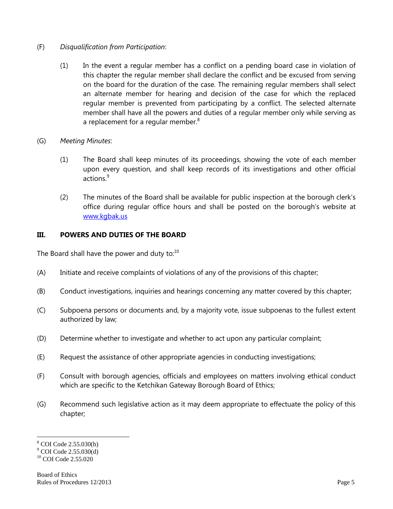- (F) *Disqualification from Participation*:
	- (1) In the event a regular member has a conflict on a pending board case in violation of this chapter the regular member shall declare the conflict and be excused from serving on the board for the duration of the case. The remaining regular members shall select an alternate member for hearing and decision of the case for which the replaced regular member is prevented from participating by a conflict. The selected alternate member shall have all the powers and duties of a regular member only while serving as a replacement for a regular member. $8<sup>8</sup>$
- (G) *Meeting Minutes*:
	- (1) The Board shall keep minutes of its proceedings, showing the vote of each member upon every question, and shall keep records of its investigations and other official actions $9$
	- (2) The minutes of the Board shall be available for public inspection at the borough clerk's office during regular office hours and shall be posted on the borough's website at [www.kgbak.us](http://www.kgbak.us/)

### **III. POWERS AND DUTIES OF THE BOARD**

The Board shall have the power and duty to: $10<sup>10</sup>$ 

- (A) Initiate and receive complaints of violations of any of the provisions of this chapter;
- (B) Conduct investigations, inquiries and hearings concerning any matter covered by this chapter;
- (C) Subpoena persons or documents and, by a majority vote, issue subpoenas to the fullest extent authorized by law;
- (D) Determine whether to investigate and whether to act upon any particular complaint;
- (E) Request the assistance of other appropriate agencies in conducting investigations;
- (F) Consult with borough agencies, officials and employees on matters involving ethical conduct which are specific to the Ketchikan Gateway Borough Board of Ethics;
- (G) Recommend such legislative action as it may deem appropriate to effectuate the policy of this chapter;

<sup>8</sup> COI Code 2.55.030(b)

 $\degree$  COI Code 2.55.030(d)

 $10$  COI Code 2.55.020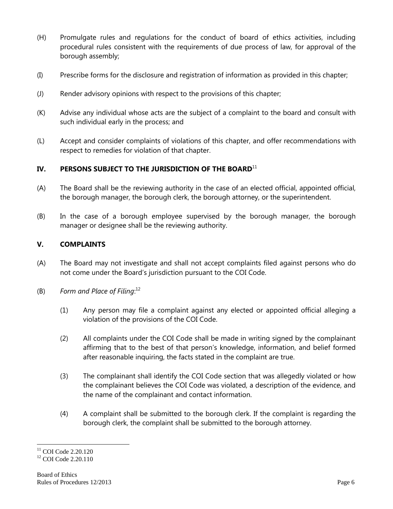- (H) Promulgate rules and regulations for the conduct of board of ethics activities, including procedural rules consistent with the requirements of due process of law, for approval of the borough assembly;
- (I) Prescribe forms for the disclosure and registration of information as provided in this chapter;
- (J) Render advisory opinions with respect to the provisions of this chapter;
- (K) Advise any individual whose acts are the subject of a complaint to the board and consult with such individual early in the process; and
- (L) Accept and consider complaints of violations of this chapter, and offer recommendations with respect to remedies for violation of that chapter.

## IV. PERSONS SUBJECT TO THE JURISDICTION OF THE BOARD<sup>11</sup>

- (A) The Board shall be the reviewing authority in the case of an elected official, appointed official, the borough manager, the borough clerk, the borough attorney, or the superintendent.
- (B) In the case of a borough employee supervised by the borough manager, the borough manager or designee shall be the reviewing authority.

# **V. COMPLAINTS**

- (A) The Board may not investigate and shall not accept complaints filed against persons who do not come under the Board's jurisdiction pursuant to the COI Code.
- (B) *Form and Place of Filing*: 12
	- (1) Any person may file a complaint against any elected or appointed official alleging a violation of the provisions of the COI Code.
	- (2) All complaints under the COI Code shall be made in writing signed by the complainant affirming that to the best of that person's knowledge, information, and belief formed after reasonable inquiring, the facts stated in the complaint are true.
	- (3) The complainant shall identify the COI Code section that was allegedly violated or how the complainant believes the COI Code was violated, a description of the evidence, and the name of the complainant and contact information.
	- (4) A complaint shall be submitted to the borough clerk. If the complaint is regarding the borough clerk, the complaint shall be submitted to the borough attorney.

<sup>&</sup>lt;sup>11</sup> COI Code 2.20.120

<sup>&</sup>lt;sup>12</sup> COI Code 2.20.110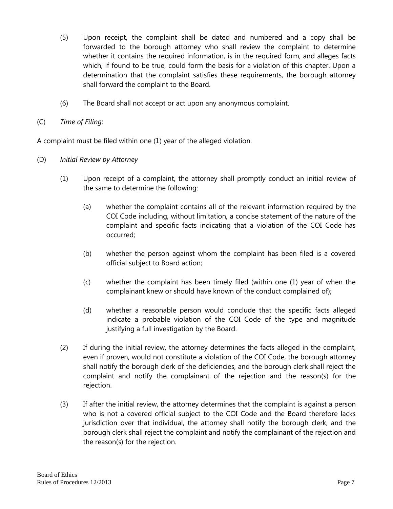- (5) Upon receipt, the complaint shall be dated and numbered and a copy shall be forwarded to the borough attorney who shall review the complaint to determine whether it contains the required information, is in the required form, and alleges facts which, if found to be true, could form the basis for a violation of this chapter. Upon a determination that the complaint satisfies these requirements, the borough attorney shall forward the complaint to the Board.
- (6) The Board shall not accept or act upon any anonymous complaint.
- (C) *Time of Filing*:

A complaint must be filed within one (1) year of the alleged violation.

- (D) *Initial Review by Attorney*
	- (1) Upon receipt of a complaint, the attorney shall promptly conduct an initial review of the same to determine the following:
		- (a) whether the complaint contains all of the relevant information required by the COI Code including, without limitation, a concise statement of the nature of the complaint and specific facts indicating that a violation of the COI Code has occurred;
		- (b) whether the person against whom the complaint has been filed is a covered official subject to Board action;
		- (c) whether the complaint has been timely filed (within one (1) year of when the complainant knew or should have known of the conduct complained of);
		- (d) whether a reasonable person would conclude that the specific facts alleged indicate a probable violation of the COI Code of the type and magnitude justifying a full investigation by the Board.
	- (2) If during the initial review, the attorney determines the facts alleged in the complaint, even if proven, would not constitute a violation of the COI Code, the borough attorney shall notify the borough clerk of the deficiencies, and the borough clerk shall reject the complaint and notify the complainant of the rejection and the reason(s) for the rejection.
	- (3) If after the initial review, the attorney determines that the complaint is against a person who is not a covered official subject to the COI Code and the Board therefore lacks jurisdiction over that individual, the attorney shall notify the borough clerk, and the borough clerk shall reject the complaint and notify the complainant of the rejection and the reason(s) for the rejection.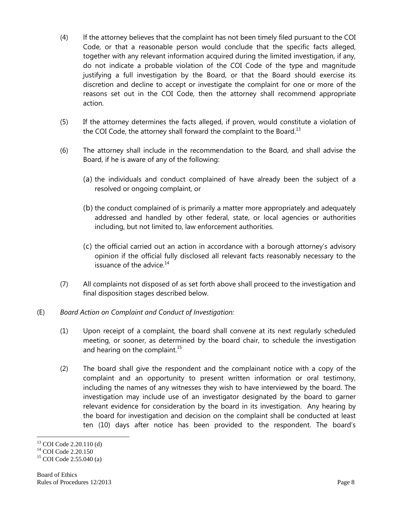- (4) lf the attorney believes that the complaint has not been timely filed pursuant to the COI Code, or that a reasonable person would conclude that the specific facts alleged, together with any relevant information acquired during the limited investigation, if any, do not indicate a probable violation of the COI Code of the type and magnitude justifying a full investigation by the Board, or that the Board should exercise its discretion and decline to accept or investigate the complaint for one or more of the reasons set out in the COI Code, then the attorney shall recommend appropriate action.
- (5) If the attorney determines the facts alleged, if proven, would constitute a violation of the COI Code, the attorney shall forward the complaint to the Board.<sup>13</sup>
- (6) The attorney shall include in the recommendation to the Board, and shall advise the Board, if he is aware of any of the following:
	- (a) the individuals and conduct complained of have already been the subject of a resolved or ongoing complaint, or
	- (b) the conduct complained of is primarily a matter more appropriately and adequately addressed and handled by other federal, state, or local agencies or authorities including, but not limited to, law enforcement authorities.
	- (c) the official carried out an action in accordance with a borough attorney's advisory opinion if the official fully disclosed all relevant facts reasonably necessary to the issuance of the advice. $14$
- (7) All complaints not disposed of as set forth above shall proceed to the investigation and final disposition stages described below.

### (E) *Board Action on Complaint and Conduct of Investigation:*

- (1) Upon receipt of a complaint, the board shall convene at its next regularly scheduled meeting, or sooner, as determined by the board chair, to schedule the investigation and hearing on the complaint. $15$
- (2) The board shall give the respondent and the complainant notice with a copy of the complaint and an opportunity to present written information or oral testimony, including the names of any witnesses they wish to have interviewed by the board. The investigation may include use of an investigator designated by the board to garner relevant evidence for consideration by the board in its investigation. Any hearing by the board for investigation and decision on the complaint shall be conducted at least ten (10) days after notice has been provided to the respondent. The board's

 $\overline{a}$  $13$  COI Code 2.20.110 (d)

<sup>&</sup>lt;sup>14</sup> COI Code 2.20.150

<sup>&</sup>lt;sup>15</sup> COI Code 2.55.040 (a)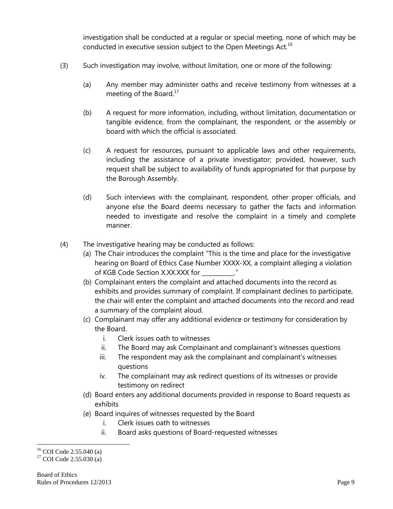investigation shall be conducted at a regular or special meeting, none of which may be conducted in executive session subject to the Open Meetings Act.<sup>16</sup>

- (3) Such investigation may involve, without limitation, one or more of the following:
	- (a) Any member may administer oaths and receive testimony from witnesses at a meeting of the Board.<sup>17</sup>
	- (b) A request for more information, including, without limitation, documentation or tangible evidence, from the complainant, the respondent, or the assembly or board with which the official is associated.
	- (c) A request for resources, pursuant to applicable laws and other requirements, including the assistance of a private investigator; provided, however, such request shall be subject to availability of funds appropriated for that purpose by the Borough Assembly.
	- (d) Such interviews with the complainant, respondent, other proper officials, and anyone else the Board deems necessary to gather the facts and information needed to investigate and resolve the complaint in a timely and complete manner.
- (4) The investigative hearing may be conducted as follows:
	- (a) The Chair introduces the complaint "This is the time and place for the investigative hearing on Board of Ethics Case Number XXXX-XX, a complaint alleging a violation of KGB Code Section X.XX.XXX for
	- (b) Complainant enters the complaint and attached documents into the record as exhibits and provides summary of complaint. If complainant declines to participate, the chair will enter the complaint and attached documents into the record and read a summary of the complaint aloud.
	- (c) Complainant may offer any additional evidence or testimony for consideration by the Board.
		- i. Clerk issues oath to witnesses
		- ii. The Board may ask Complainant and complainant's witnesses questions
		- iii. The respondent may ask the complainant and complainant's witnesses questions
		- iv. The complainant may ask redirect questions of its witnesses or provide testimony on redirect
	- (d) Board enters any additional documents provided in response to Board requests as exhibits
	- (e) Board inquires of witnesses requested by the Board
		- i. Clerk issues oath to witnesses
		- ii. Board asks questions of Board-requested witnesses

 $16$  COI Code 2.55.040 (a)

 $17$  COI Code 2.55.030 (a)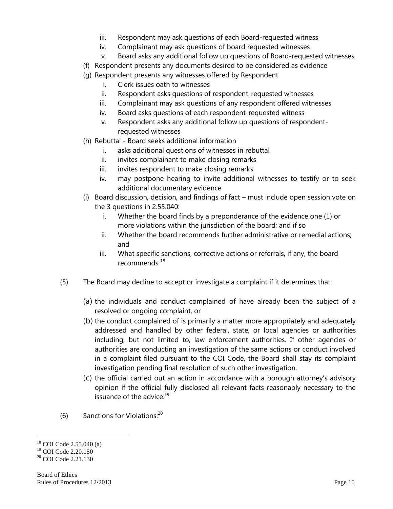- iii. Respondent may ask questions of each Board-requested witness
- iv. Complainant may ask questions of board requested witnesses
- v. Board asks any additional follow up questions of Board-requested witnesses
- (f) Respondent presents any documents desired to be considered as evidence
- (g) Respondent presents any witnesses offered by Respondent
	- i. Clerk issues oath to witnesses
	- ii. Respondent asks questions of respondent-requested witnesses
	- iii. Complainant may ask questions of any respondent offered witnesses
	- iv. Board asks questions of each respondent-requested witness
	- v. Respondent asks any additional follow up questions of respondentrequested witnesses
- (h) Rebuttal Board seeks additional information
	- i. asks additional questions of witnesses in rebuttal
	- ii. invites complainant to make closing remarks
	- iii. invites respondent to make closing remarks
	- iv. may postpone hearing to invite additional witnesses to testify or to seek additional documentary evidence
- (i) Board discussion, decision, and findings of fact must include open session vote on the 3 questions in 2.55.040:
	- i. Whether the board finds by a preponderance of the evidence one (1) or more violations within the jurisdiction of the board; and if so
	- ii. Whether the board recommends further administrative or remedial actions; and
	- iii. What specific sanctions, corrective actions or referrals, if any, the board recommends<sup>18</sup>
- (5) The Board may decline to accept or investigate a complaint if it determines that:
	- (a) the individuals and conduct complained of have already been the subject of a resolved or ongoing complaint, or
	- (b) the conduct complained of is primarily a matter more appropriately and adequately addressed and handled by other federal, state, or local agencies or authorities including, but not limited to, law enforcement authorities. If other agencies or authorities are conducting an investigation of the same actions or conduct involved in a complaint filed pursuant to the COI Code, the Board shall stay its complaint investigation pending final resolution of such other investigation.
	- (c) the official carried out an action in accordance with a borough attorney's advisory opinion if the official fully disclosed all relevant facts reasonably necessary to the issuance of the advice. $19$
- $(6)$  Sanctions for Violations:<sup>20</sup>

 $\overline{a}$ <sup>18</sup> COI Code 2.55.040 (a)

<sup>19</sup> COI Code 2.20.150

<sup>&</sup>lt;sup>20</sup> COI Code 2.21.130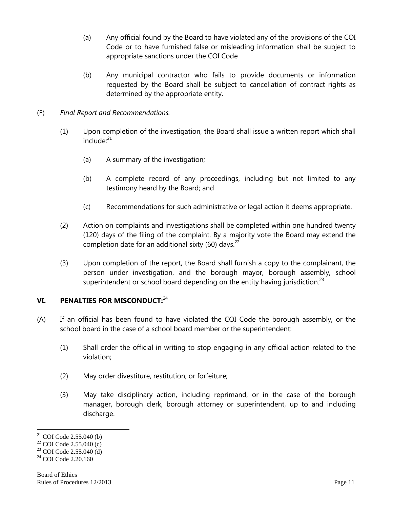- (a) Any official found by the Board to have violated any of the provisions of the COI Code or to have furnished false or misleading information shall be subject to appropriate sanctions under the COI Code
- (b) Any municipal contractor who fails to provide documents or information requested by the Board shall be subject to cancellation of contract rights as determined by the appropriate entity.
- (F) *Final Report and Recommendations.*
	- (1) Upon completion of the investigation, the Board shall issue a written report which shall  $include<sup>.21</sup>$ 
		- (a) A summary of the investigation;
		- (b) A complete record of any proceedings, including but not limited to any testimony heard by the Board; and
		- (c) Recommendations for such administrative or legal action it deems appropriate.
	- (2) Action on complaints and investigations shall be completed within one hundred twenty (120) days of the filing of the complaint. By a majority vote the Board may extend the completion date for an additional sixty (60) days.<sup>22</sup>
	- (3) Upon completion of the report, the Board shall furnish a copy to the complainant, the person under investigation, and the borough mayor, borough assembly, school superintendent or school board depending on the entity having jurisdiction.<sup>23</sup>

#### **VI. PENALTIES FOR MISCONDUCT:**<sup>24</sup>

- (A) If an official has been found to have violated the COI Code the borough assembly, or the school board in the case of a school board member or the superintendent:
	- (1) Shall order the official in writing to stop engaging in any official action related to the violation;
	- (2) May order divestiture, restitution, or forfeiture;
	- (3) May take disciplinary action, including reprimand, or in the case of the borough manager, borough clerk, borough attorney or superintendent, up to and including discharge.

 $21$  COI Code 2.55.040 (b)

 $22$  COI Code 2.55.040 (c)

 $^{23}$  COI Code 2.55.040 (d)

 $24$  COI Code 2.20.160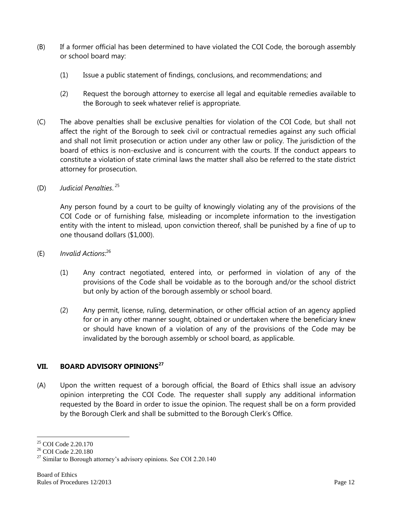- (B) If a former official has been determined to have violated the COI Code, the borough assembly or school board may:
	- (1) Issue a public statement of findings, conclusions, and recommendations; and
	- (2) Request the borough attorney to exercise all legal and equitable remedies available to the Borough to seek whatever relief is appropriate.
- (C) The above penalties shall be exclusive penalties for violation of the COI Code, but shall not affect the right of the Borough to seek civil or contractual remedies against any such official and shall not limit prosecution or action under any other law or policy. The jurisdiction of the board of ethics is non-exclusive and is concurrent with the courts. If the conduct appears to constitute a violation of state criminal laws the matter shall also be referred to the state district attorney for prosecution.
- (D) *Judicial Penalties*. 25

Any person found by a court to be guilty of knowingly violating any of the provisions of the COI Code or of furnishing false, misleading or incomplete information to the investigation entity with the intent to mislead, upon conviction thereof, shall be punished by a fine of up to one thousand dollars (\$1,000).

- (E) *Invalid Actions*: 26
	- (1) Any contract negotiated, entered into, or performed in violation of any of the provisions of the Code shall be voidable as to the borough and/or the school district but only by action of the borough assembly or school board.
	- (2) Any permit, license, ruling, determination, or other official action of an agency applied for or in any other manner sought, obtained or undertaken where the beneficiary knew or should have known of a violation of any of the provisions of the Code may be invalidated by the borough assembly or school board, as applicable.

# **VII. BOARD ADVISORY OPINIONS<sup>27</sup>**

(A) Upon the written request of a borough official, the Board of Ethics shall issue an advisory opinion interpreting the COI Code. The requester shall supply any additional information requested by the Board in order to issue the opinion. The request shall be on a form provided by the Borough Clerk and shall be submitted to the Borough Clerk's Office.

<sup>&</sup>lt;sup>25</sup> COI Code 2.20.170

<sup>26</sup> COI Code 2.20.180

 $27$  Similar to Borough attorney's advisory opinions. See COI 2.20.140